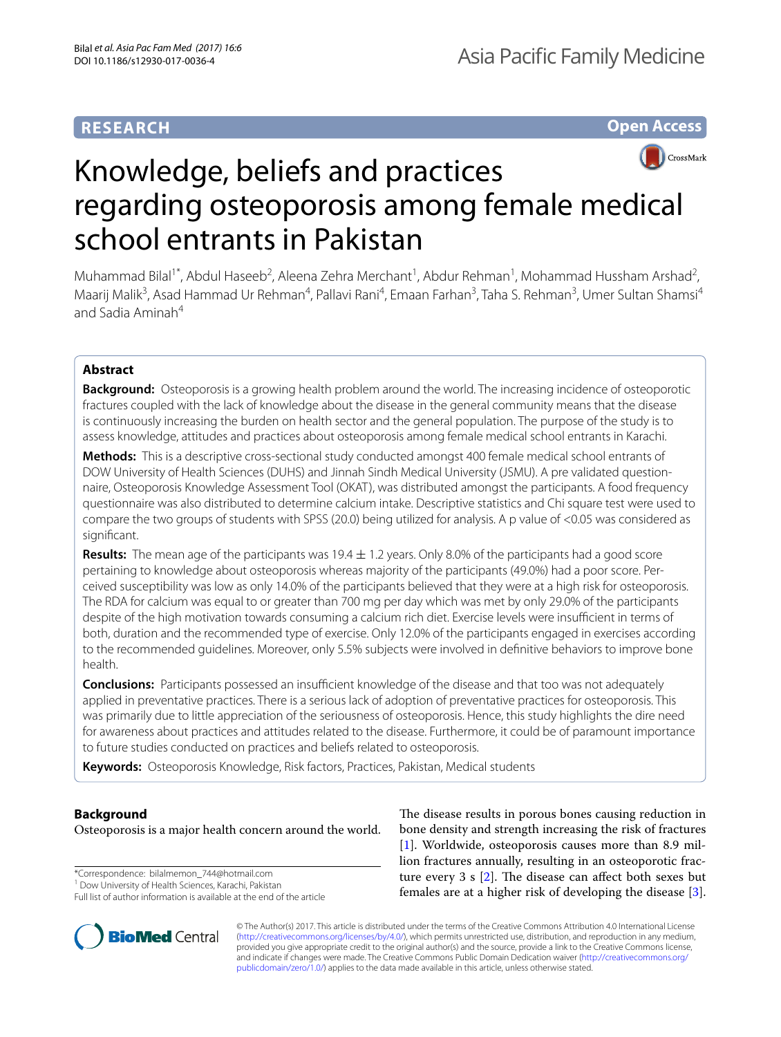# **RESEARCH**

**Open Access**



# Knowledge, beliefs and practices regarding osteoporosis among female medical school entrants in Pakistan

Muhammad Bilal<sup>1\*</sup>, Abdul Haseeb<sup>2</sup>, Aleena Zehra Merchant<sup>1</sup>, Abdur Rehman<sup>1</sup>, Mohammad Hussham Arshad<sup>2</sup>, Maarij Malik<sup>3</sup>, Asad Hammad Ur Rehman<sup>4</sup>, Pallavi Rani<sup>4</sup>, Emaan Farhan<sup>3</sup>, Taha S. Rehman<sup>3</sup>, Umer Sultan Shamsi<sup>4</sup> and Sadia Aminah<sup>4</sup>

# **Abstract**

**Background:** Osteoporosis is a growing health problem around the world. The increasing incidence of osteoporotic fractures coupled with the lack of knowledge about the disease in the general community means that the disease is continuously increasing the burden on health sector and the general population. The purpose of the study is to assess knowledge, attitudes and practices about osteoporosis among female medical school entrants in Karachi.

**Methods:** This is a descriptive cross-sectional study conducted amongst 400 female medical school entrants of DOW University of Health Sciences (DUHS) and Jinnah Sindh Medical University (JSMU). A pre validated questionnaire, Osteoporosis Knowledge Assessment Tool (OKAT), was distributed amongst the participants. A food frequency questionnaire was also distributed to determine calcium intake. Descriptive statistics and Chi square test were used to compare the two groups of students with SPSS (20.0) being utilized for analysis. A p value of <0.05 was considered as signifcant.

**Results:** The mean age of the participants was 19.4 ± 1.2 years. Only 8.0% of the participants had a good score pertaining to knowledge about osteoporosis whereas majority of the participants (49.0%) had a poor score. Perceived susceptibility was low as only 14.0% of the participants believed that they were at a high risk for osteoporosis. The RDA for calcium was equal to or greater than 700 mg per day which was met by only 29.0% of the participants despite of the high motivation towards consuming a calcium rich diet. Exercise levels were insufficient in terms of both, duration and the recommended type of exercise. Only 12.0% of the participants engaged in exercises according to the recommended guidelines. Moreover, only 5.5% subjects were involved in defnitive behaviors to improve bone health.

**Conclusions:** Participants possessed an insufficient knowledge of the disease and that too was not adequately applied in preventative practices. There is a serious lack of adoption of preventative practices for osteoporosis. This was primarily due to little appreciation of the seriousness of osteoporosis. Hence, this study highlights the dire need for awareness about practices and attitudes related to the disease. Furthermore, it could be of paramount importance to future studies conducted on practices and beliefs related to osteoporosis.

**Keywords:** Osteoporosis Knowledge, Risk factors, Practices, Pakistan, Medical students

# **Background**

Osteoporosis is a major health concern around the world.

\*Correspondence: bilalmemon\_744@hotmail.com

<sup>&</sup>lt;sup>1</sup> Dow University of Health Sciences, Karachi, Pakistan Full list of author information is available at the end of the article



The disease results in porous bones causing reduction in bone density and strength increasing the risk of fractures [[1\]](#page-5-0). Worldwide, osteoporosis causes more than 8.9 million fractures annually, resulting in an osteoporotic fracture every 3 s  $[2]$ . The disease can affect both sexes but females are at a higher risk of developing the disease [\[3](#page-5-2)].

© The Author(s) 2017. This article is distributed under the terms of the Creative Commons Attribution 4.0 International License [\(http://creativecommons.org/licenses/by/4.0/\)](http://creativecommons.org/licenses/by/4.0/), which permits unrestricted use, distribution, and reproduction in any medium, provided you give appropriate credit to the original author(s) and the source, provide a link to the Creative Commons license, and indicate if changes were made. The Creative Commons Public Domain Dedication waiver ([http://creativecommons.org/](http://creativecommons.org/publicdomain/zero/1.0/) [publicdomain/zero/1.0/](http://creativecommons.org/publicdomain/zero/1.0/)) applies to the data made available in this article, unless otherwise stated.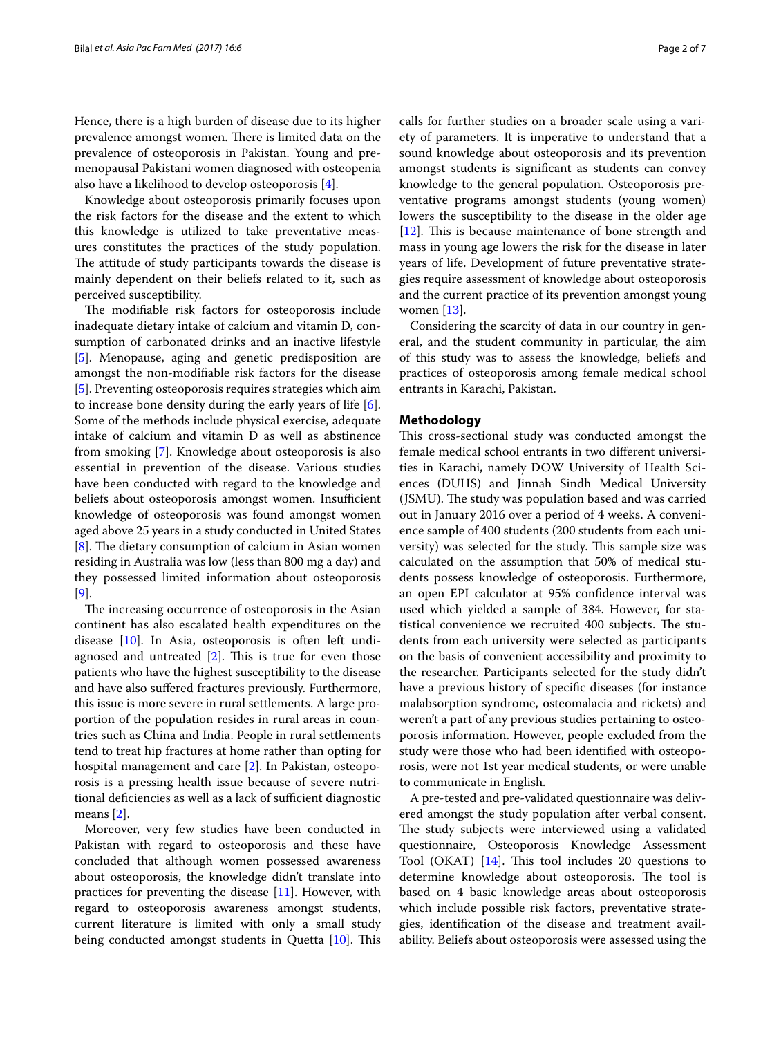Hence, there is a high burden of disease due to its higher prevalence amongst women. There is limited data on the prevalence of osteoporosis in Pakistan. Young and premenopausal Pakistani women diagnosed with osteopenia also have a likelihood to develop osteoporosis [[4\]](#page-5-3).

Knowledge about osteoporosis primarily focuses upon the risk factors for the disease and the extent to which this knowledge is utilized to take preventative measures constitutes the practices of the study population. The attitude of study participants towards the disease is mainly dependent on their beliefs related to it, such as perceived susceptibility.

The modifiable risk factors for osteoporosis include inadequate dietary intake of calcium and vitamin D, consumption of carbonated drinks and an inactive lifestyle [[5\]](#page-5-4). Menopause, aging and genetic predisposition are amongst the non-modifable risk factors for the disease [[5\]](#page-5-4). Preventing osteoporosis requires strategies which aim to increase bone density during the early years of life [\[6](#page-5-5)]. Some of the methods include physical exercise, adequate intake of calcium and vitamin D as well as abstinence from smoking [\[7](#page-5-6)]. Knowledge about osteoporosis is also essential in prevention of the disease. Various studies have been conducted with regard to the knowledge and beliefs about osteoporosis amongst women. Insufficient knowledge of osteoporosis was found amongst women aged above 25 years in a study conducted in United States  $[8]$  $[8]$ . The dietary consumption of calcium in Asian women residing in Australia was low (less than 800 mg a day) and they possessed limited information about osteoporosis [[9\]](#page-5-8).

The increasing occurrence of osteoporosis in the Asian continent has also escalated health expenditures on the disease [\[10](#page-5-9)]. In Asia, osteoporosis is often left undiagnosed and untreated  $[2]$ . This is true for even those patients who have the highest susceptibility to the disease and have also sufered fractures previously. Furthermore, this issue is more severe in rural settlements. A large proportion of the population resides in rural areas in countries such as China and India. People in rural settlements tend to treat hip fractures at home rather than opting for hospital management and care [[2\]](#page-5-1). In Pakistan, osteoporosis is a pressing health issue because of severe nutritional deficiencies as well as a lack of sufficient diagnostic means [[2\]](#page-5-1).

Moreover, very few studies have been conducted in Pakistan with regard to osteoporosis and these have concluded that although women possessed awareness about osteoporosis, the knowledge didn't translate into practices for preventing the disease [[11\]](#page-5-10). However, with regard to osteoporosis awareness amongst students, current literature is limited with only a small study being conducted amongst students in Quetta [\[10](#page-5-9)]. This calls for further studies on a broader scale using a variety of parameters. It is imperative to understand that a sound knowledge about osteoporosis and its prevention amongst students is signifcant as students can convey knowledge to the general population. Osteoporosis preventative programs amongst students (young women) lowers the susceptibility to the disease in the older age [[12\]](#page-5-11). This is because maintenance of bone strength and mass in young age lowers the risk for the disease in later years of life. Development of future preventative strategies require assessment of knowledge about osteoporosis and the current practice of its prevention amongst young women [\[13](#page-5-12)].

Considering the scarcity of data in our country in general, and the student community in particular, the aim of this study was to assess the knowledge, beliefs and practices of osteoporosis among female medical school entrants in Karachi, Pakistan.

# **Methodology**

This cross-sectional study was conducted amongst the female medical school entrants in two diferent universities in Karachi, namely DOW University of Health Sciences (DUHS) and Jinnah Sindh Medical University (JSMU). The study was population based and was carried out in January 2016 over a period of 4 weeks. A convenience sample of 400 students (200 students from each university) was selected for the study. This sample size was calculated on the assumption that 50% of medical students possess knowledge of osteoporosis. Furthermore, an open EPI calculator at 95% confdence interval was used which yielded a sample of 384. However, for statistical convenience we recruited 400 subjects. The students from each university were selected as participants on the basis of convenient accessibility and proximity to the researcher. Participants selected for the study didn't have a previous history of specifc diseases (for instance malabsorption syndrome, osteomalacia and rickets) and weren't a part of any previous studies pertaining to osteoporosis information. However, people excluded from the study were those who had been identifed with osteoporosis, were not 1st year medical students, or were unable to communicate in English.

A pre-tested and pre-validated questionnaire was delivered amongst the study population after verbal consent. The study subjects were interviewed using a validated questionnaire, Osteoporosis Knowledge Assessment Tool (OKAT)  $[14]$  $[14]$ . This tool includes 20 questions to determine knowledge about osteoporosis. The tool is based on 4 basic knowledge areas about osteoporosis which include possible risk factors, preventative strategies, identifcation of the disease and treatment availability. Beliefs about osteoporosis were assessed using the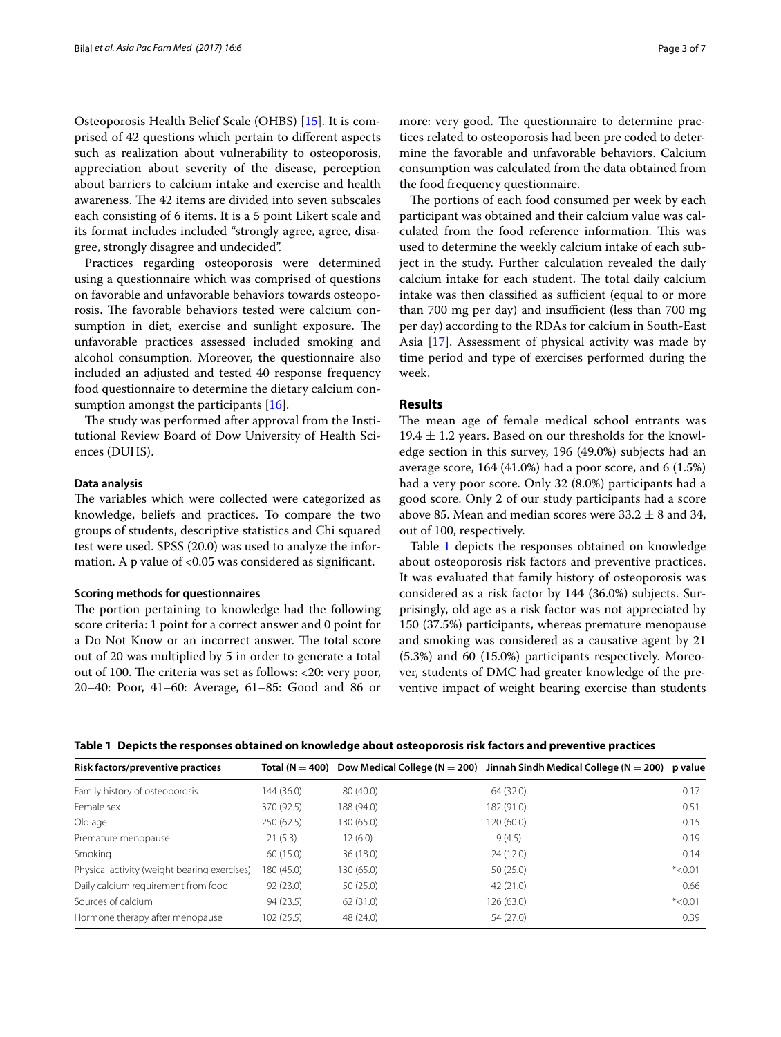Osteoporosis Health Belief Scale (OHBS) [[15\]](#page-5-14). It is comprised of 42 questions which pertain to diferent aspects such as realization about vulnerability to osteoporosis, appreciation about severity of the disease, perception about barriers to calcium intake and exercise and health awareness. The 42 items are divided into seven subscales each consisting of 6 items. It is a 5 point Likert scale and its format includes included "strongly agree, agree, disagree, strongly disagree and undecided".

Practices regarding osteoporosis were determined using a questionnaire which was comprised of questions on favorable and unfavorable behaviors towards osteoporosis. The favorable behaviors tested were calcium consumption in diet, exercise and sunlight exposure. The unfavorable practices assessed included smoking and alcohol consumption. Moreover, the questionnaire also included an adjusted and tested 40 response frequency food questionnaire to determine the dietary calcium con-sumption amongst the participants [\[16](#page-6-0)].

The study was performed after approval from the Institutional Review Board of Dow University of Health Sciences (DUHS).

# **Data analysis**

The variables which were collected were categorized as knowledge, beliefs and practices. To compare the two groups of students, descriptive statistics and Chi squared test were used. SPSS (20.0) was used to analyze the information. A p value of <0.05 was considered as significant.

## **Scoring methods for questionnaires**

The portion pertaining to knowledge had the following score criteria: 1 point for a correct answer and 0 point for a Do Not Know or an incorrect answer. The total score out of 20 was multiplied by 5 in order to generate a total out of 100. The criteria was set as follows:  $\langle 20$ : very poor, 20–40: Poor, 41–60: Average, 61–85: Good and 86 or more: very good. The questionnaire to determine practices related to osteoporosis had been pre coded to determine the favorable and unfavorable behaviors. Calcium consumption was calculated from the data obtained from the food frequency questionnaire.

The portions of each food consumed per week by each participant was obtained and their calcium value was calculated from the food reference information. This was used to determine the weekly calcium intake of each subject in the study. Further calculation revealed the daily calcium intake for each student. The total daily calcium intake was then classified as sufficient (equal to or more than 700 mg per day) and insufficient (less than 700 mg per day) according to the RDAs for calcium in South-East Asia [[17\]](#page-6-1). Assessment of physical activity was made by time period and type of exercises performed during the week.

# **Results**

The mean age of female medical school entrants was 19.4  $\pm$  1.2 years. Based on our thresholds for the knowledge section in this survey, 196 (49.0%) subjects had an average score, 164 (41.0%) had a poor score, and 6 (1.5%) had a very poor score. Only 32 (8.0%) participants had a good score. Only 2 of our study participants had a score above 85. Mean and median scores were  $33.2 \pm 8$  and 34, out of 100, respectively.

Table [1](#page-2-0) depicts the responses obtained on knowledge about osteoporosis risk factors and preventive practices. It was evaluated that family history of osteoporosis was considered as a risk factor by 144 (36.0%) subjects. Surprisingly, old age as a risk factor was not appreciated by 150 (37.5%) participants, whereas premature menopause and smoking was considered as a causative agent by 21 (5.3%) and 60 (15.0%) participants respectively. Moreover, students of DMC had greater knowledge of the preventive impact of weight bearing exercise than students

<span id="page-2-0"></span>

|  |  |  | Table 1 Depicts the responses obtained on knowledge about osteoporosis risk factors and preventive practices |
|--|--|--|--------------------------------------------------------------------------------------------------------------|
|  |  |  |                                                                                                              |

| Risk factors/preventive practices            |            |            | Total (N = 400) Dow Medical College (N = 200) Jinnah Sindh Medical College (N = 200) | p value  |
|----------------------------------------------|------------|------------|--------------------------------------------------------------------------------------|----------|
| Family history of osteoporosis               | 144 (36.0) | 80(40.0)   | 64 (32.0)                                                                            | 0.17     |
| Female sex                                   | 370 (92.5) | 188 (94.0) | 182 (91.0)                                                                           | 0.51     |
| Old age                                      | 250(62.5)  | 130 (65.0) | 120(60.0)                                                                            | 0.15     |
| Premature menopause                          | 21(5.3)    | 12(6.0)    | 9(4.5)                                                                               | 0.19     |
| Smoking                                      | 60(15.0)   | 36(18.0)   | 24(12.0)                                                                             | 0.14     |
| Physical activity (weight bearing exercises) | 180 (45.0) | 130 (65.0) | 50(25.0)                                                                             | $*<0.01$ |
| Daily calcium requirement from food          | 92(23.0)   | 50(25.0)   | 42 (21.0)                                                                            | 0.66     |
| Sources of calcium                           | 94 (23.5)  | 62(31.0)   | 126(63.0)                                                                            | $*<0.01$ |
| Hormone therapy after menopause              | 102(25.5)  | 48 (24.0)  | 54 (27.0)                                                                            | 0.39     |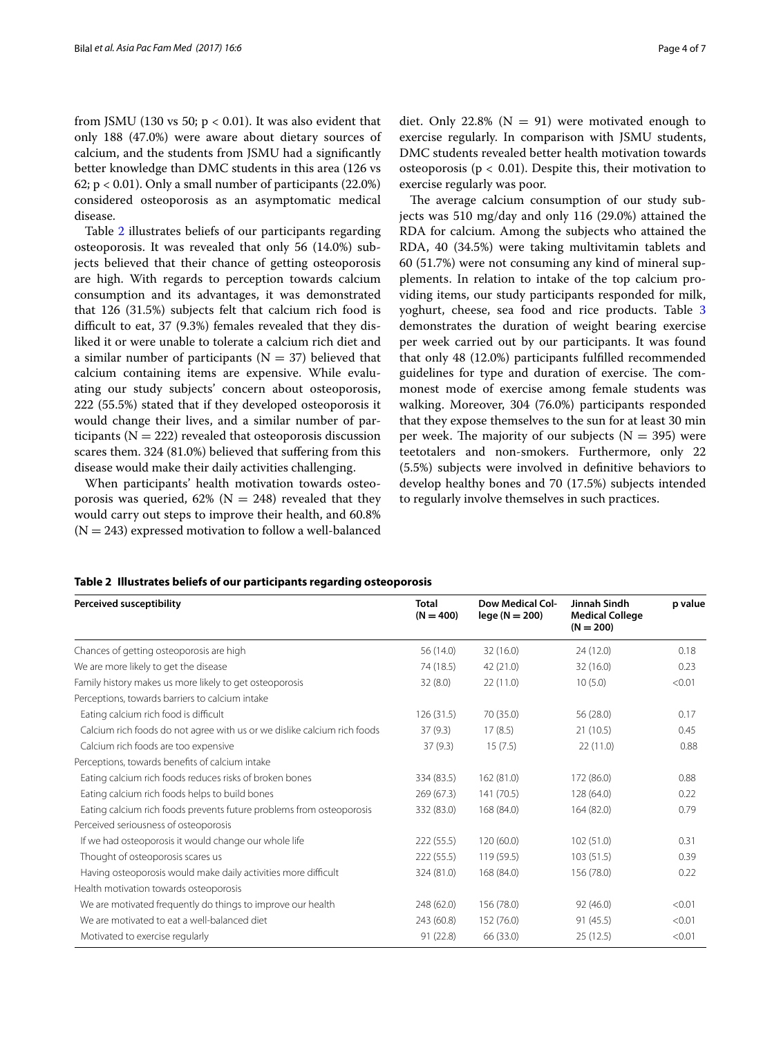from JSMU (130 vs 50;  $p < 0.01$ ). It was also evident that only 188 (47.0%) were aware about dietary sources of calcium, and the students from JSMU had a signifcantly better knowledge than DMC students in this area (126 vs 62;  $p < 0.01$ ). Only a small number of participants (22.0%) considered osteoporosis as an asymptomatic medical disease.

Table [2](#page-3-0) illustrates beliefs of our participants regarding osteoporosis. It was revealed that only 56 (14.0%) subjects believed that their chance of getting osteoporosis are high. With regards to perception towards calcium consumption and its advantages, it was demonstrated that 126 (31.5%) subjects felt that calcium rich food is difficult to eat, 37 (9.3%) females revealed that they disliked it or were unable to tolerate a calcium rich diet and a similar number of participants ( $N = 37$ ) believed that calcium containing items are expensive. While evaluating our study subjects' concern about osteoporosis, 222 (55.5%) stated that if they developed osteoporosis it would change their lives, and a similar number of participants ( $N = 222$ ) revealed that osteoporosis discussion scares them. 324 (81.0%) believed that sufering from this disease would make their daily activities challenging.

When participants' health motivation towards osteoporosis was queried, 62% ( $N = 248$ ) revealed that they would carry out steps to improve their health, and 60.8%  $(N = 243)$  expressed motivation to follow a well-balanced

The average calcium consumption of our study subjects was 510 mg/day and only 116 (29.0%) attained the RDA for calcium. Among the subjects who attained the RDA, 40 (34.5%) were taking multivitamin tablets and 60 (51.7%) were not consuming any kind of mineral supplements. In relation to intake of the top calcium providing items, our study participants responded for milk, yoghurt, cheese, sea food and rice products. Table [3](#page-4-0) demonstrates the duration of weight bearing exercise per week carried out by our participants. It was found that only 48 (12.0%) participants fulflled recommended guidelines for type and duration of exercise. The commonest mode of exercise among female students was walking. Moreover, 304 (76.0%) participants responded that they expose themselves to the sun for at least 30 min per week. The majority of our subjects ( $N = 395$ ) were teetotalers and non-smokers. Furthermore, only 22 (5.5%) subjects were involved in defnitive behaviors to develop healthy bones and 70 (17.5%) subjects intended to regularly involve themselves in such practices.

# <span id="page-3-0"></span>**Table 2 Illustrates beliefs of our participants regarding osteoporosis**

| Perceived susceptibility                                                 | <b>Total</b><br>$(N = 400)$ | <b>Dow Medical Col-</b><br>$lege(N = 200)$ | Jinnah Sindh<br><b>Medical College</b><br>$(N = 200)$ | p value |
|--------------------------------------------------------------------------|-----------------------------|--------------------------------------------|-------------------------------------------------------|---------|
| Chances of getting osteoporosis are high                                 | 56 (14.0)                   | 32 (16.0)                                  | 24 (12.0)                                             | 0.18    |
| We are more likely to get the disease                                    | 74 (18.5)                   | 42 (21.0)                                  | 32 (16.0)                                             | 0.23    |
| Family history makes us more likely to get osteoporosis                  | 32(8.0)                     | 22(11.0)                                   | 10(5.0)                                               | < 0.01  |
| Perceptions, towards barriers to calcium intake                          |                             |                                            |                                                       |         |
| Eating calcium rich food is difficult                                    | 126(31.5)                   | 70 (35.0)                                  | 56(28.0)                                              | 0.17    |
| Calcium rich foods do not agree with us or we dislike calcium rich foods | 37(9.3)                     | 17(8.5)                                    | 21(10.5)                                              | 0.45    |
| Calcium rich foods are too expensive                                     | 37(9.3)                     | 15(7.5)                                    | 22(11.0)                                              | 0.88    |
| Perceptions, towards benefits of calcium intake                          |                             |                                            |                                                       |         |
| Eating calcium rich foods reduces risks of broken bones                  | 334 (83.5)                  | 162 (81.0)                                 | 172 (86.0)                                            | 0.88    |
| Eating calcium rich foods helps to build bones                           | 269(67.3)                   | 141 (70.5)                                 | 128 (64.0)                                            | 0.22    |
| Eating calcium rich foods prevents future problems from osteoporosis     | 332 (83.0)                  | 168 (84.0)                                 | 164 (82.0)                                            | 0.79    |
| Perceived seriousness of osteoporosis                                    |                             |                                            |                                                       |         |
| If we had osteoporosis it would change our whole life                    | 222(55.5)                   | 120 (60.0)                                 | 102(51.0)                                             | 0.31    |
| Thought of osteoporosis scares us                                        | 222(55.5)                   | 119(59.5)                                  | 103(51.5)                                             | 0.39    |
| Having osteoporosis would make daily activities more difficult           | 324 (81.0)                  | 168 (84.0)                                 | 156 (78.0)                                            | 0.22    |
| Health motivation towards osteoporosis                                   |                             |                                            |                                                       |         |
| We are motivated frequently do things to improve our health              | 248 (62.0)                  | 156 (78.0)                                 | 92(46.0)                                              | < 0.01  |
| We are motivated to eat a well-balanced diet                             | 243 (60.8)                  | 152 (76.0)                                 | 91(45.5)                                              | < 0.01  |
| Motivated to exercise regularly                                          | 91(22.8)                    | 66 (33.0)                                  | 25(12.5)                                              | < 0.01  |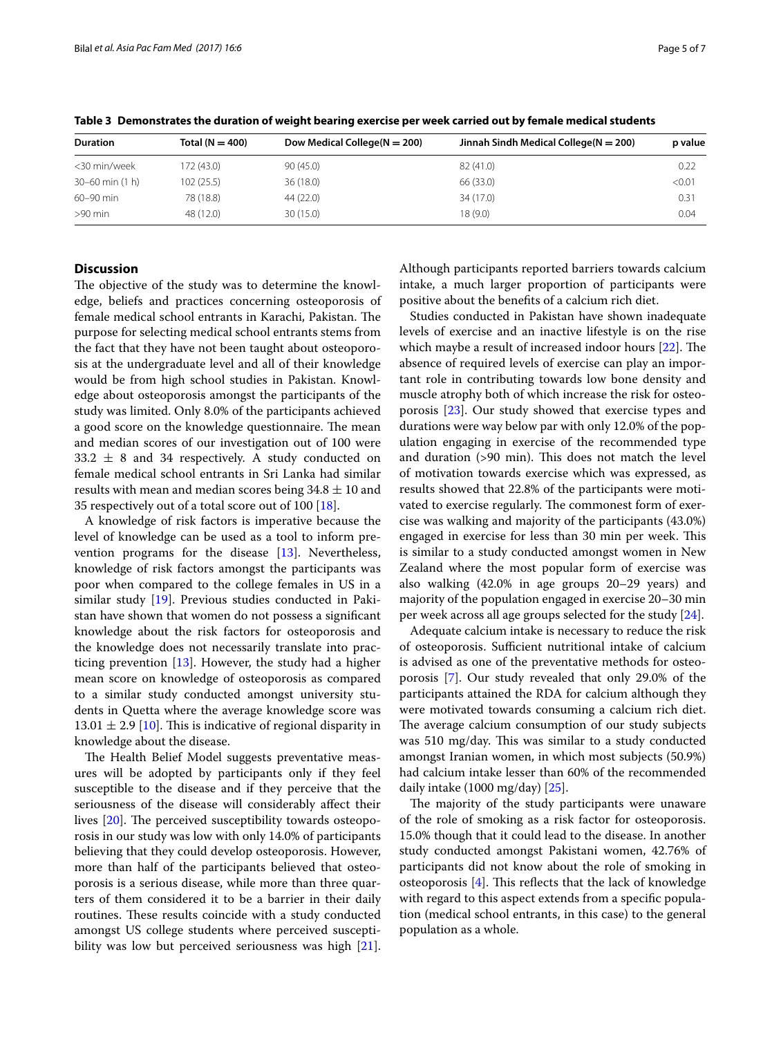| <b>Duration</b>       | Total ( $N = 400$ ) | Dow Medical College( $N = 200$ ) | Jinnah Sindh Medical College( $N = 200$ ) | p value |
|-----------------------|---------------------|----------------------------------|-------------------------------------------|---------|
| <30 min/week          | 172 (43.0)          | 90(45.0)                         | 82 (41.0)                                 | 0.22    |
| $30 - 60$ min $(1 h)$ | 102(25.5)           | 36(18.0)                         | 66 (33.0)                                 | < 0.01  |
| $60 - 90$ min         | 78 (18.8)           | 44 (22.0)                        | 34 (17.0)                                 | 0.31    |
| $>90$ min             | 48 (12.0)           | 30(15.0)                         | 18(9.0)                                   | 0.04    |

<span id="page-4-0"></span>**Table 3 Demonstrates the duration of weight bearing exercise per week carried out by female medical students**

# **Discussion**

The objective of the study was to determine the knowledge, beliefs and practices concerning osteoporosis of female medical school entrants in Karachi, Pakistan. The purpose for selecting medical school entrants stems from the fact that they have not been taught about osteoporosis at the undergraduate level and all of their knowledge would be from high school studies in Pakistan. Knowledge about osteoporosis amongst the participants of the study was limited. Only 8.0% of the participants achieved a good score on the knowledge questionnaire. The mean and median scores of our investigation out of 100 were  $33.2 \pm 8$  and 34 respectively. A study conducted on female medical school entrants in Sri Lanka had similar results with mean and median scores being  $34.8 \pm 10$  and 35 respectively out of a total score out of 100 [\[18\]](#page-6-2).

A knowledge of risk factors is imperative because the level of knowledge can be used as a tool to inform prevention programs for the disease [\[13\]](#page-5-12). Nevertheless, knowledge of risk factors amongst the participants was poor when compared to the college females in US in a similar study [\[19](#page-6-3)]. Previous studies conducted in Pakistan have shown that women do not possess a signifcant knowledge about the risk factors for osteoporosis and the knowledge does not necessarily translate into practicing prevention [[13](#page-5-12)]. However, the study had a higher mean score on knowledge of osteoporosis as compared to a similar study conducted amongst university students in Quetta where the average knowledge score was  $13.01 \pm 2.9$  [[10\]](#page-5-9). This is indicative of regional disparity in knowledge about the disease.

The Health Belief Model suggests preventative measures will be adopted by participants only if they feel susceptible to the disease and if they perceive that the seriousness of the disease will considerably afect their lives  $[20]$  $[20]$ . The perceived susceptibility towards osteoporosis in our study was low with only 14.0% of participants believing that they could develop osteoporosis. However, more than half of the participants believed that osteoporosis is a serious disease, while more than three quarters of them considered it to be a barrier in their daily routines. These results coincide with a study conducted amongst US college students where perceived susceptibility was low but perceived seriousness was high [\[21](#page-6-5)]. Although participants reported barriers towards calcium intake, a much larger proportion of participants were positive about the benefts of a calcium rich diet.

Studies conducted in Pakistan have shown inadequate levels of exercise and an inactive lifestyle is on the rise which maybe a result of increased indoor hours  $[22]$  $[22]$ . The absence of required levels of exercise can play an important role in contributing towards low bone density and muscle atrophy both of which increase the risk for osteoporosis [\[23](#page-6-7)]. Our study showed that exercise types and durations were way below par with only 12.0% of the population engaging in exercise of the recommended type and duration  $(>90 \text{ min})$ . This does not match the level of motivation towards exercise which was expressed, as results showed that 22.8% of the participants were motivated to exercise regularly. The commonest form of exercise was walking and majority of the participants (43.0%) engaged in exercise for less than 30 min per week. This is similar to a study conducted amongst women in New Zealand where the most popular form of exercise was also walking (42.0% in age groups 20–29 years) and majority of the population engaged in exercise 20–30 min per week across all age groups selected for the study [[24\]](#page-6-8).

Adequate calcium intake is necessary to reduce the risk of osteoporosis. Sufficient nutritional intake of calcium is advised as one of the preventative methods for osteoporosis [[7\]](#page-5-6). Our study revealed that only 29.0% of the participants attained the RDA for calcium although they were motivated towards consuming a calcium rich diet. The average calcium consumption of our study subjects was 510 mg/day. This was similar to a study conducted amongst Iranian women, in which most subjects (50.9%) had calcium intake lesser than 60% of the recommended daily intake (1000 mg/day) [\[25](#page-6-9)].

The majority of the study participants were unaware of the role of smoking as a risk factor for osteoporosis. 15.0% though that it could lead to the disease. In another study conducted amongst Pakistani women, 42.76% of participants did not know about the role of smoking in osteoporosis  $[4]$  $[4]$  $[4]$ . This reflects that the lack of knowledge with regard to this aspect extends from a specifc population (medical school entrants, in this case) to the general population as a whole.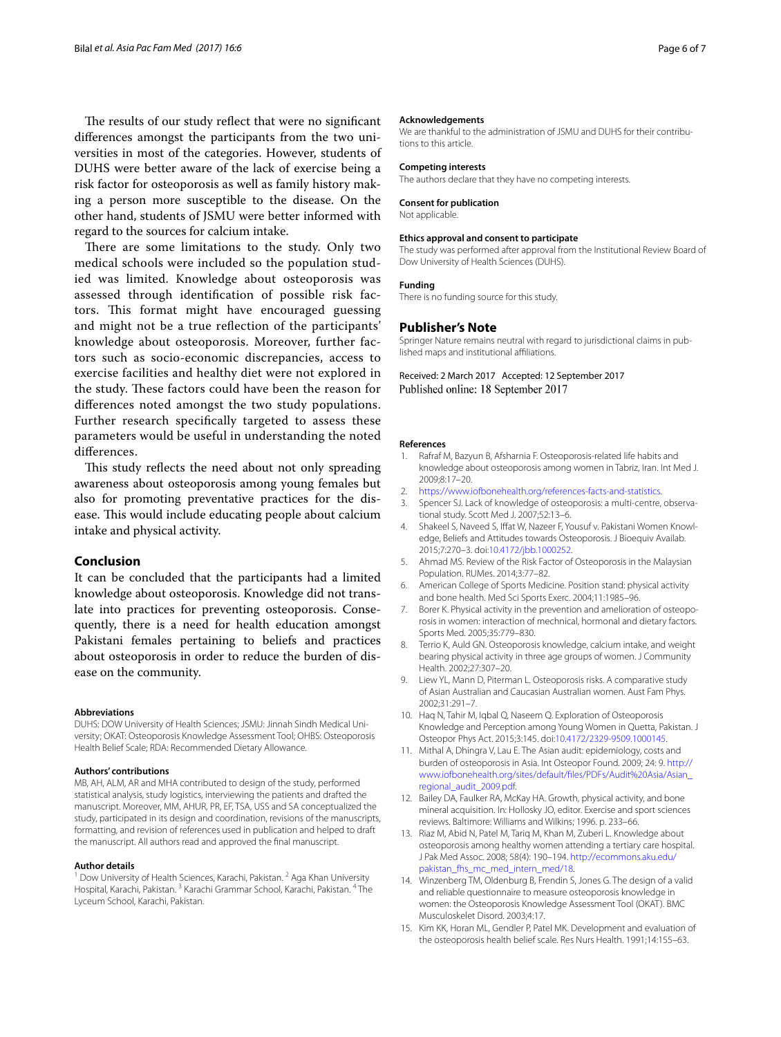The results of our study reflect that were no significant diferences amongst the participants from the two universities in most of the categories. However, students of DUHS were better aware of the lack of exercise being a risk factor for osteoporosis as well as family history making a person more susceptible to the disease. On the other hand, students of JSMU were better informed with regard to the sources for calcium intake.

There are some limitations to the study. Only two medical schools were included so the population studied was limited. Knowledge about osteoporosis was assessed through identifcation of possible risk factors. This format might have encouraged guessing and might not be a true refection of the participants' knowledge about osteoporosis. Moreover, further factors such as socio-economic discrepancies, access to exercise facilities and healthy diet were not explored in the study. These factors could have been the reason for diferences noted amongst the two study populations. Further research specifcally targeted to assess these parameters would be useful in understanding the noted diferences.

This study reflects the need about not only spreading awareness about osteoporosis among young females but also for promoting preventative practices for the disease. This would include educating people about calcium intake and physical activity.

# **Conclusion**

It can be concluded that the participants had a limited knowledge about osteoporosis. Knowledge did not translate into practices for preventing osteoporosis. Consequently, there is a need for health education amongst Pakistani females pertaining to beliefs and practices about osteoporosis in order to reduce the burden of disease on the community.

#### **Abbreviations**

DUHS: DOW University of Health Sciences; JSMU: Jinnah Sindh Medical University; OKAT: Osteoporosis Knowledge Assessment Tool; OHBS: Osteoporosis Health Belief Scale; RDA: Recommended Dietary Allowance.

#### **Authors' contributions**

MB, AH, ALM, AR and MHA contributed to design of the study, performed statistical analysis, study logistics, interviewing the patients and drafted the manuscript. Moreover, MM, AHUR, PR, EF, TSA, USS and SA conceptualized the study, participated in its design and coordination, revisions of the manuscripts, formatting, and revision of references used in publication and helped to draft the manuscript. All authors read and approved the fnal manuscript.

#### **Author details**

<sup>1</sup> Dow University of Health Sciences, Karachi, Pakistan. <sup>2</sup> Aga Khan University Hospital, Karachi, Pakistan. <sup>3</sup> Karachi Grammar School, Karachi, Pakistan. 4 The Lyceum School, Karachi, Pakistan.

#### **Acknowledgements**

We are thankful to the administration of JSMU and DUHS for their contributions to this article.

#### **Competing interests**

The authors declare that they have no competing interests.

## **Consent for publication**

Not applicable.

## **Ethics approval and consent to participate**

The study was performed after approval from the Institutional Review Board of Dow University of Health Sciences (DUHS).

# **Funding**

There is no funding source for this study.

# **Publisher's Note**

Springer Nature remains neutral with regard to jurisdictional claims in published maps and institutional afliations.

Received: 2 March 2017 Accepted: 12 September 2017 Published online: 18 September 2017

#### **References**

- <span id="page-5-0"></span>1. Rafraf M, Bazyun B, Afsharnia F. Osteoporosis-related life habits and knowledge about osteoporosis among women in Tabriz, Iran. Int Med J. 2009;8:17–20.
- <span id="page-5-1"></span>2. [https://www.iofbonehealth.org/references-facts-and-statistics.](https://www.iofbonehealth.org/references-facts-and-statistics)
- <span id="page-5-2"></span>3. Spencer SJ. Lack of knowledge of osteoporosis: a multi-centre, observational study. Scott Med J. 2007;52:13–6.
- <span id="page-5-3"></span>4. Shakeel S, Naveed S, Iffat W, Nazeer F, Yousuf v. Pakistani Women Knowledge, Beliefs and Attitudes towards Osteoporosis. J Bioequiv Availab. 2015;7:270–3. doi:[10.4172/jbb.1000252](http://dx.doi.org/10.4172/jbb.1000252).
- <span id="page-5-4"></span>5. Ahmad MS. Review of the Risk Factor of Osteoporosis in the Malaysian Population. RUMes. 2014;3:77–82.
- <span id="page-5-5"></span>6. American College of Sports Medicine. Position stand: physical activity and bone health. Med Sci Sports Exerc. 2004;11:1985–96.
- <span id="page-5-6"></span>7. Borer K. Physical activity in the prevention and amelioration of osteoporosis in women: interaction of mechnical, hormonal and dietary factors. Sports Med. 2005;35:779–830.
- <span id="page-5-7"></span>8. Terrio K, Auld GN. Osteoporosis knowledge, calcium intake, and weight bearing physical activity in three age groups of women. J Community Health. 2002;27:307–20.
- <span id="page-5-8"></span>9. Liew YL, Mann D, Piterman L. Osteoporosis risks. A comparative study of Asian Australian and Caucasian Australian women. Aust Fam Phys. 2002;31:291–7.
- <span id="page-5-9"></span>10. Haq N, Tahir M, Iqbal Q, Naseem Q. Exploration of Osteoporosis Knowledge and Perception among Young Women in Quetta, Pakistan. J Osteopor Phys Act. 2015;3:145. doi:[10.4172/2329-9509.1000145.](http://dx.doi.org/10.4172/2329-9509.1000145)
- <span id="page-5-10"></span>11. Mithal A, Dhingra V, Lau E. The Asian audit: epidemiology, costs and burden of osteoporosis in Asia. Int Osteopor Found. 2009; 24: 9. [http://](http://www.iofbonehealth.org/sites/default/files/PDFs/Audit%20Asia/Asian_regional_audit_2009.pdf) [www.iofbonehealth.org/sites/default/fles/PDFs/Audit%20Asia/Asian\\_](http://www.iofbonehealth.org/sites/default/files/PDFs/Audit%20Asia/Asian_regional_audit_2009.pdf) [regional\\_audit\\_2009.pdf.](http://www.iofbonehealth.org/sites/default/files/PDFs/Audit%20Asia/Asian_regional_audit_2009.pdf)
- <span id="page-5-11"></span>12. Bailey DA, Faulker RA, McKay HA. Growth, physical activity, and bone mineral acquisition. In: Hollosky JO, editor. Exercise and sport sciences reviews. Baltimore: Williams and Wilkins; 1996. p. 233–66.
- <span id="page-5-12"></span>13. Riaz M, Abid N, Patel M, Tariq M, Khan M, Zuberi L. Knowledge about osteoporosis among healthy women attending a tertiary care hospital. J Pak Med Assoc. 2008; 58(4): 190–194. [http://ecommons.aku.edu/](http://ecommons.aku.edu/pakistan_fhs_mc_med_intern_med/18) [pakistan\\_fhs\\_mc\\_med\\_intern\\_med/18](http://ecommons.aku.edu/pakistan_fhs_mc_med_intern_med/18).
- <span id="page-5-13"></span>14. Winzenberg TM, Oldenburg B, Frendin S, Jones G. The design of a valid and reliable questionnaire to measure osteoporosis knowledge in women: the Osteoporosis Knowledge Assessment Tool (OKAT). BMC Musculoskelet Disord. 2003;4:17.
- <span id="page-5-14"></span>15. Kim KK, Horan ML, Gendler P, Patel MK. Development and evaluation of the osteoporosis health belief scale. Res Nurs Health. 1991;14:155–63.